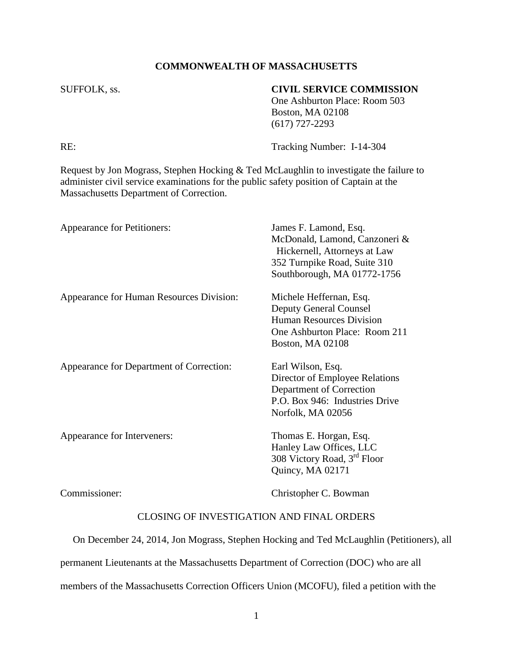#### **COMMONWEALTH OF MASSACHUSETTS**

### SUFFOLK, ss. **CIVIL SERVICE COMMISSION**

One Ashburton Place: Room 503 Boston, MA 02108 (617) 727-2293

RE: Tracking Number: I-14-304

Request by Jon Mograss, Stephen Hocking & Ted McLaughlin to investigate the failure to administer civil service examinations for the public safety position of Captain at the Massachusetts Department of Correction.

| Appearance for Petitioners:              | James F. Lamond, Esq.<br>McDonald, Lamond, Canzoneri &<br>Hickernell, Attorneys at Law<br>352 Turnpike Road, Suite 310<br>Southborough, MA 01772-1756   |
|------------------------------------------|---------------------------------------------------------------------------------------------------------------------------------------------------------|
| Appearance for Human Resources Division: | Michele Heffernan, Esq.<br><b>Deputy General Counsel</b><br><b>Human Resources Division</b><br>One Ashburton Place: Room 211<br><b>Boston, MA 02108</b> |
| Appearance for Department of Correction: | Earl Wilson, Esq.<br>Director of Employee Relations<br>Department of Correction<br>P.O. Box 946: Industries Drive<br>Norfolk, MA 02056                  |
| Appearance for Interveners:              | Thomas E. Horgan, Esq.<br>Hanley Law Offices, LLC<br>308 Victory Road, 3 <sup>rd</sup> Floor<br>Quincy, MA 02171                                        |
| Commissioner:                            | Christopher C. Bowman                                                                                                                                   |

# CLOSING OF INVESTIGATION AND FINAL ORDERS

On December 24, 2014, Jon Mograss, Stephen Hocking and Ted McLaughlin (Petitioners), all

permanent Lieutenants at the Massachusetts Department of Correction (DOC) who are all

members of the Massachusetts Correction Officers Union (MCOFU), filed a petition with the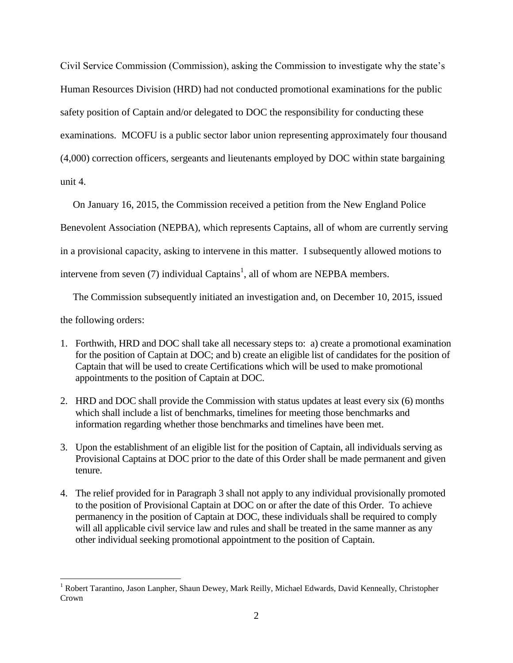Civil Service Commission (Commission), asking the Commission to investigate why the state's Human Resources Division (HRD) had not conducted promotional examinations for the public safety position of Captain and/or delegated to DOC the responsibility for conducting these examinations. MCOFU is a public sector labor union representing approximately four thousand (4,000) correction officers, sergeants and lieutenants employed by DOC within state bargaining unit 4.

On January 16, 2015, the Commission received a petition from the New England Police

Benevolent Association (NEPBA), which represents Captains, all of whom are currently serving

in a provisional capacity, asking to intervene in this matter. I subsequently allowed motions to

intervene from seven (7) individual Captains<sup>1</sup>, all of whom are NEPBA members.

The Commission subsequently initiated an investigation and, on December 10, 2015, issued

the following orders:

 $\overline{a}$ 

- 1. Forthwith, HRD and DOC shall take all necessary steps to: a) create a promotional examination for the position of Captain at DOC; and b) create an eligible list of candidates for the position of Captain that will be used to create Certifications which will be used to make promotional appointments to the position of Captain at DOC.
- 2. HRD and DOC shall provide the Commission with status updates at least every six (6) months which shall include a list of benchmarks, timelines for meeting those benchmarks and information regarding whether those benchmarks and timelines have been met.
- 3. Upon the establishment of an eligible list for the position of Captain, all individuals serving as Provisional Captains at DOC prior to the date of this Order shall be made permanent and given tenure.
- 4. The relief provided for in Paragraph 3 shall not apply to any individual provisionally promoted to the position of Provisional Captain at DOC on or after the date of this Order. To achieve permanency in the position of Captain at DOC, these individuals shall be required to comply will all applicable civil service law and rules and shall be treated in the same manner as any other individual seeking promotional appointment to the position of Captain.

<sup>1</sup> Robert Tarantino, Jason Lanpher, Shaun Dewey, Mark Reilly, Michael Edwards, David Kenneally, Christopher Crown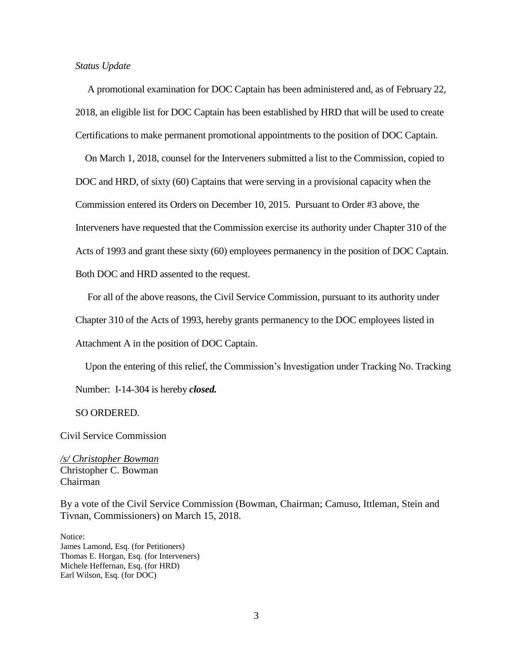#### *Status Update*

 A promotional examination for DOC Captain has been administered and, as of February 22, 2018, an eligible list for DOC Captain has been established by HRD that will be used to create Certifications to make permanent promotional appointments to the position of DOC Captain.

 On March 1, 2018, counsel for the Interveners submitted a list to the Commission, copied to DOC and HRD, of sixty (60) Captains that were serving in a provisional capacity when the Commission entered its Orders on December 10, 2015. Pursuant to Order #3 above, the Interveners have requested that the Commission exercise its authority under Chapter 310 of the Acts of 1993 and grant these sixty (60) employees permanency in the position of DOC Captain. Both DOC and HRD assented to the request.

For all of the above reasons, the Civil Service Commission, pursuant to its authority under

Chapter 310 of the Acts of 1993, hereby grants permanency to the DOC employees listed in

Attachment A in the position of DOC Captain.

Upon the entering of this relief, the Commission's Investigation under Tracking No. Tracking

Number: I-14-304 is hereby *closed.* 

SO ORDERED.

Civil Service Commission

*/s/ Christopher Bowman* Christopher C. Bowman Chairman

By a vote of the Civil Service Commission (Bowman, Chairman; Camuso, Ittleman, Stein and Tivnan, Commissioners) on March 15, 2018.

Notice: James Lamond, Esq. (for Petitioners) Thomas E. Horgan, Esq. (for Interveners) Michele Heffernan, Esq. (for HRD) Earl Wilson, Esq. (for DOC)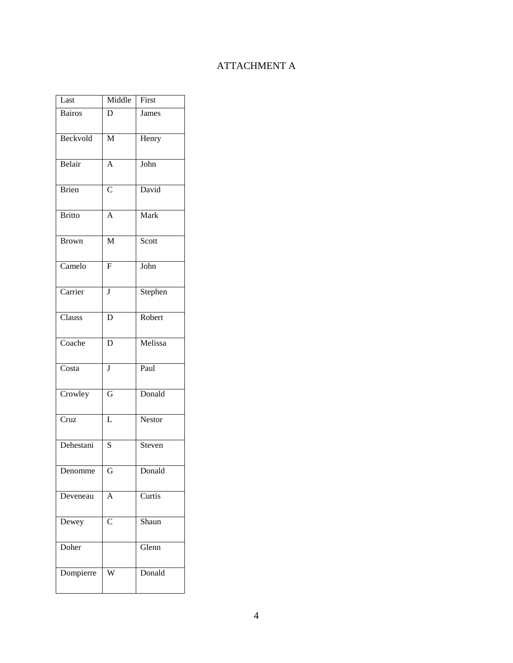# ATTACHMENT A

| Last                      | Middle                  | First   |
|---------------------------|-------------------------|---------|
| <b>Bairos</b>             | D                       | James   |
| Beckvold                  | $\overline{\mathbf{M}}$ | Henry   |
| Belair                    | $\overline{A}$          | John    |
| <b>Brien</b>              | $\overline{C}$          | David   |
| <b>Britto</b>             | $\overline{A}$          | Mark    |
| <b>Brown</b>              | $\overline{\mathbf{M}}$ | Scott   |
| Camelo                    | $\overline{\mathrm{F}}$ | John    |
| Carrier                   | $\overline{\mathbf{J}}$ | Stephen |
| Clauss                    | D                       | Robert  |
| Coache                    | D                       | Melissa |
| Costa                     | $\overline{\mathbf{J}}$ | Paul    |
| Crowley                   | $\overline{G}$          | Donald  |
| $\overline{\text{C}}$ ruz | $\overline{L}$          | Nestor  |
| Dehestani                 | $\overline{S}$          | Steven  |
| Denomme                   | G                       | Donald  |
| Deveneau                  | $\overline{A}$          | Curtis  |
| Dewey                     | $\overline{C}$          | Shaun   |
| Doher                     |                         | Glenn   |
| Dompierre                 | Ŵ                       | Donald  |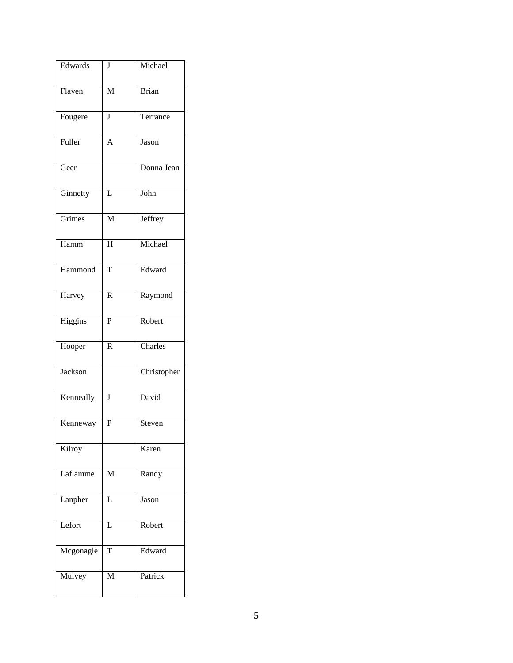| Edwards               | J                       | Michael     |
|-----------------------|-------------------------|-------------|
| Flaven                | M                       | Brian       |
| Fougere               | J                       | Terrance    |
| Fuller                | $\overline{A}$          | Jason       |
| Geer                  |                         | Donna Jean  |
| Ginnetty              | L                       | John        |
| Grimes                | $\overline{\mathbf{M}}$ | Jeffrey     |
| Hamm                  | $\overline{H}$          | Michael     |
| Hammond               | $\overline{T}$          | Edward      |
| Harvey                | $\overline{\text{R}}$   | Raymond     |
| $\overline{H}$ iggins | $\overline{\mathrm{P}}$ | Robert      |
| Hooper                | $\overline{\text{R}}$   | Charles     |
| Jackson               |                         | Christopher |
| Kenneally             | $\bf J$                 | David       |
| Kenneway              | $\overline{P}$          | Steven      |
| Kilroy                |                         | Karen       |
| Laflamme              | M                       | Randy       |
| Lanpher               | L                       | Jason       |
| Lefort                | L                       | Robert      |
| Mcgonagle             | T                       | Edward      |
| Mulvey                | M                       | Patrick     |